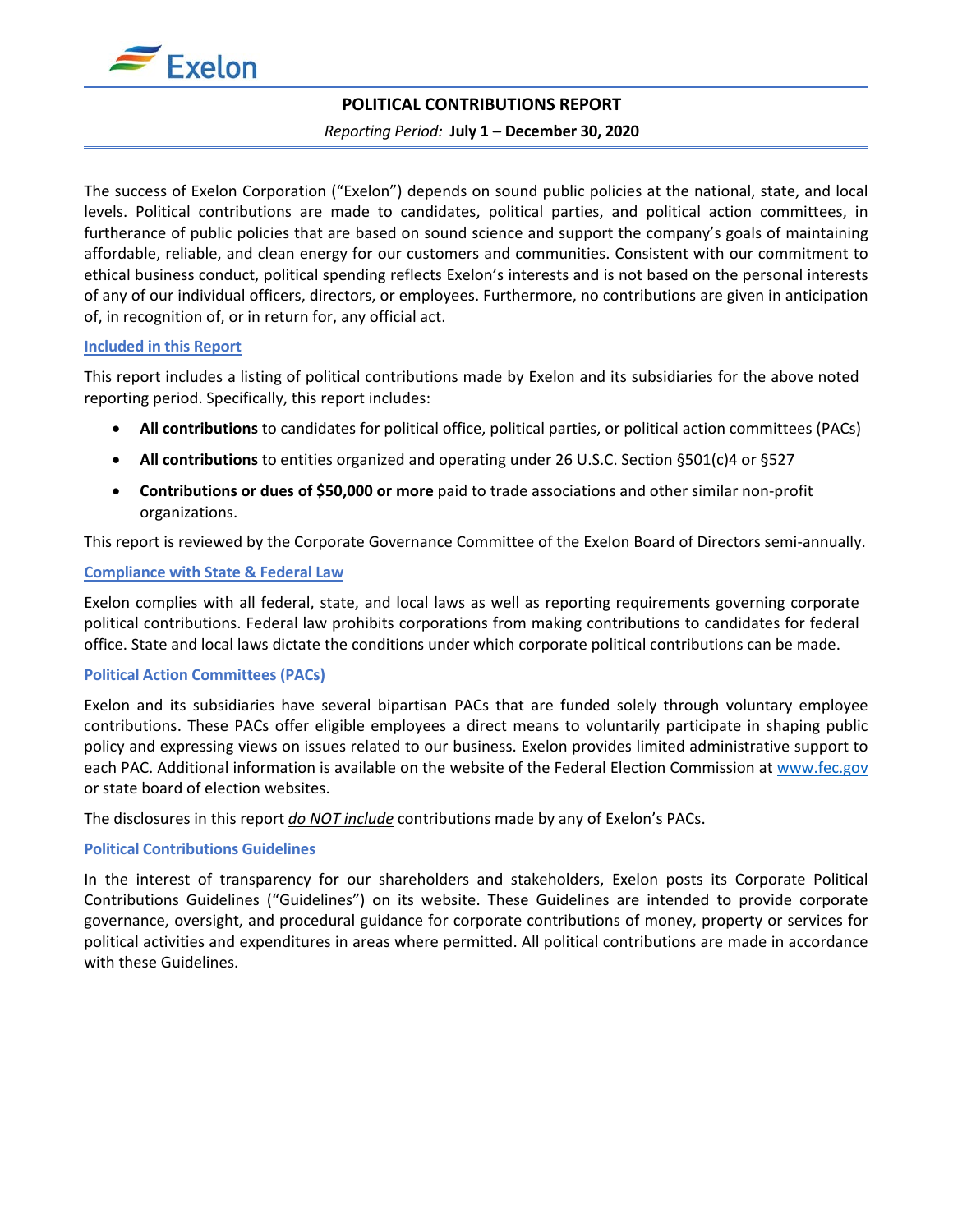

# **POLITICAL CONTRIBUTIONS REPORT**

#### *Reporting Period:* **July 1 – December 30, 2020**

The success of Exelon Corporation ("Exelon") depends on sound public policies at the national, state, and local levels. Political contributions are made to candidates, political parties, and political action committees, in furtherance of public policies that are based on sound science and support the company's goals of maintaining affordable, reliable, and clean energy for our customers and communities. Consistent with our commitment to ethical business conduct, political spending reflects Exelon's interests and is not based on the personal interests of any of our individual officers, directors, or employees. Furthermore, no contributions are given in anticipation of, in recognition of, or in return for, any official act.

### **Included in this Report**

This report includes a listing of political contributions made by Exelon and its subsidiaries for the above noted reporting period. Specifically, this report includes:

- **All contributions** to candidates for political office, political parties, or political action committees (PACs)
- **All contributions** to entities organized and operating under 26 U.S.C. Section §501(c)4 or §527
- **Contributions or dues of \$50,000 or more** paid to trade associations and other similar non-profit organizations.

This report is reviewed by the Corporate Governance Committee of the Exelon Board of Directors semi-annually.

#### **Compliance with State & Federal Law**

Exelon complies with all federal, state, and local laws as well as reporting requirements governing corporate political contributions. Federal law prohibits corporations from making contributions to candidates for federal office. State and local laws dictate the conditions under which corporate political contributions can be made.

#### **Political Action Committees (PACs)**

Exelon and its subsidiaries have several bipartisan PACs that are funded solely through voluntary employee contributions. These PACs offer eligible employees a direct means to voluntarily participate in shaping public policy and expressing views on issues related to our business. Exelon provides limited administrative support to each PAC. Additional information is available on the website of the Federal Election Commission at [www.fec.gov](http://www.fec.gov/) or state board of election websites.

The disclosures in this report *do NOT include* contributions made by any of Exelon's PACs.

### **Political Contributions Guidelines**

In the interest of transparency for our shareholders and stakeholders, Exelon posts its Corporate Political Contributions Guidelines ("Guidelines") on its website. These Guidelines are intended to provide corporate governance, oversight, and procedural guidance for corporate contributions of money, property or services for political activities and expenditures in areas where permitted. All political contributions are made in accordance with these Guidelines.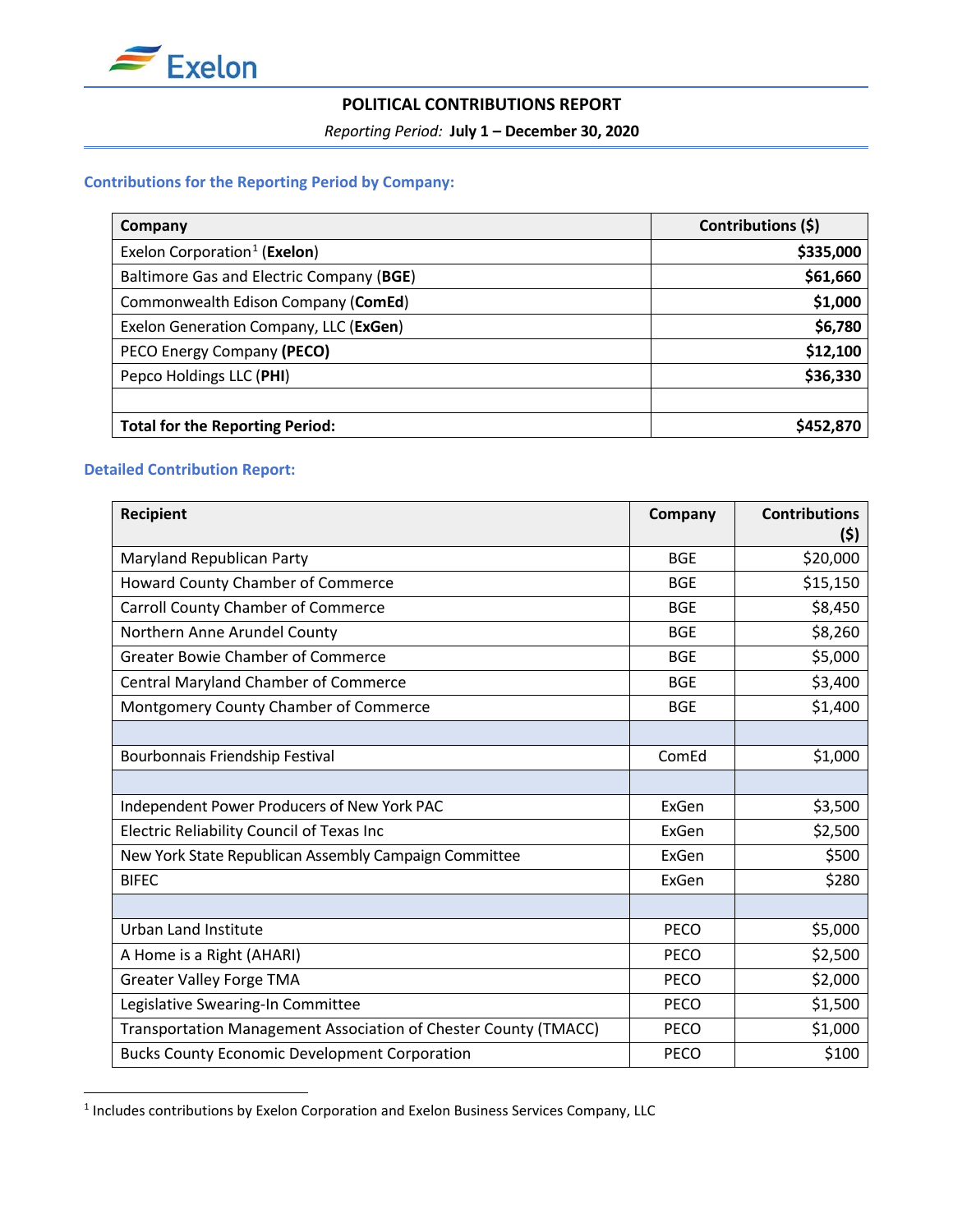

# **POLITICAL CONTRIBUTIONS REPORT**

*Reporting Period:* **July 1 – December 30, 2020**

# **Contributions for the Reporting Period by Company:**

| Company                                  | Contributions (\$) |  |
|------------------------------------------|--------------------|--|
| Exelon Corporation <sup>1</sup> (Exelon) | \$335,000          |  |
| Baltimore Gas and Electric Company (BGE) | \$61,660           |  |
| Commonwealth Edison Company (ComEd)      | \$1,000            |  |
| Exelon Generation Company, LLC (ExGen)   | \$6,780            |  |
| PECO Energy Company (PECO)               | \$12,100           |  |
| Pepco Holdings LLC (PHI)                 | \$36,330           |  |
|                                          |                    |  |
| <b>Total for the Reporting Period:</b>   | \$452,870          |  |

## **Detailed Contribution Report:**

| Recipient                                                       | Company     | <b>Contributions</b><br>(\$) |
|-----------------------------------------------------------------|-------------|------------------------------|
| Maryland Republican Party                                       | <b>BGE</b>  | \$20,000                     |
| Howard County Chamber of Commerce                               | <b>BGE</b>  | \$15,150                     |
| <b>Carroll County Chamber of Commerce</b>                       | <b>BGE</b>  | \$8,450                      |
| Northern Anne Arundel County                                    | <b>BGE</b>  | \$8,260                      |
| <b>Greater Bowie Chamber of Commerce</b>                        | <b>BGE</b>  | \$5,000                      |
| <b>Central Maryland Chamber of Commerce</b>                     | <b>BGE</b>  | \$3,400                      |
| Montgomery County Chamber of Commerce                           | <b>BGE</b>  | \$1,400                      |
|                                                                 |             |                              |
| Bourbonnais Friendship Festival                                 | ComEd       | \$1,000                      |
|                                                                 |             |                              |
| Independent Power Producers of New York PAC                     | ExGen       | \$3,500                      |
| Electric Reliability Council of Texas Inc                       | ExGen       | \$2,500                      |
| New York State Republican Assembly Campaign Committee           | ExGen       | \$500                        |
| <b>BIFEC</b>                                                    | ExGen       | \$280                        |
|                                                                 |             |                              |
| Urban Land Institute                                            | <b>PECO</b> | \$5,000                      |
| A Home is a Right (AHARI)                                       | <b>PECO</b> | \$2,500                      |
| <b>Greater Valley Forge TMA</b>                                 | <b>PECO</b> | \$2,000                      |
| Legislative Swearing-In Committee                               | <b>PECO</b> | \$1,500                      |
| Transportation Management Association of Chester County (TMACC) | PECO        | \$1,000                      |
| <b>Bucks County Economic Development Corporation</b>            | <b>PECO</b> | \$100                        |

<span id="page-1-0"></span><sup>&</sup>lt;sup>1</sup> Includes contributions by Exelon Corporation and Exelon Business Services Company, LLC